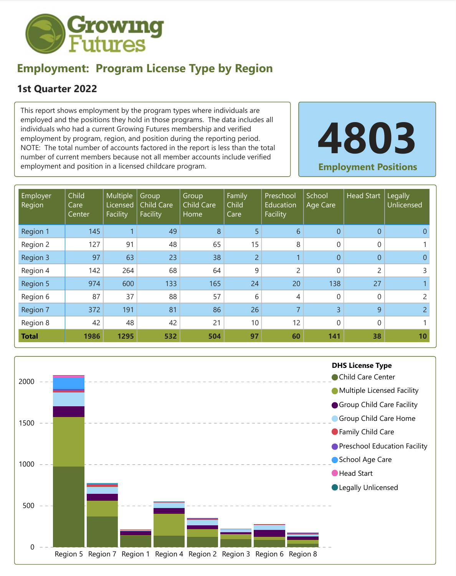

## **Employment: Program License Type by Region**

## **1st Quarter 2022**

This report shows employment by the program types where individuals are employed and the positions they hold in those programs. The data includes all individuals who had a current Growing Futures membership and verified employment by program, region, and position during the reporting period. NOTE: The total number of accounts factored in the report is less than the total number of current members because not all member accounts include verified employment and position in a licensed childcare program.

**4803 Employment Positions**

| Employer<br>Region | Child<br>Care<br>Center | Multiple<br>Licensed<br>Facility | Group<br><b>Child Care</b><br>Facility | Group<br><b>Child Care</b><br>Home | Family<br>Child<br>Care | Preschool<br>Education<br>Facility | School<br>Age Care | <b>Head Start</b> | Legally<br>Unlicensed |
|--------------------|-------------------------|----------------------------------|----------------------------------------|------------------------------------|-------------------------|------------------------------------|--------------------|-------------------|-----------------------|
| Region 1           | 145                     |                                  | 49                                     | 8                                  | 5                       | 6                                  | $\overline{0}$     | $\overline{0}$    |                       |
| Region 2           | 127                     | 91                               | 48                                     | 65                                 | 15                      | 8                                  | 0                  | 0                 |                       |
| Region 3           | 97                      | 63                               | 23                                     | 38                                 | $\overline{2}$          |                                    | $\overline{0}$     | $\overline{0}$    | 0                     |
| Region 4           | 142                     | 264                              | 68                                     | 64                                 | 9                       | $\overline{2}$                     | $\overline{0}$     | $\overline{2}$    | 3                     |
| Region 5           | 974                     | 600                              | 133                                    | 165                                | 24                      | 20                                 | 138                | 27                |                       |
| Region 6           | 87                      | 37                               | 88                                     | 57                                 | 6                       | 4                                  | $\boldsymbol{0}$   | 0                 |                       |
| Region 7           | 372                     | 191                              | 81                                     | 86                                 | 26                      | $\overline{7}$                     | 3                  | 9                 | $\overline{2}$        |
| Region 8           | 42                      | 48                               | 42                                     | 21                                 | 10                      | 12                                 | $\overline{0}$     | 0                 |                       |
| <b>Total</b>       | 1986                    | 1295                             | 532                                    | 504                                | 97                      | 60                                 | 141                | 38                | 10                    |